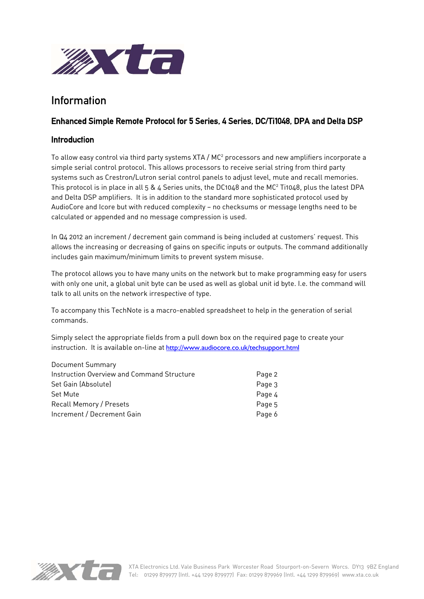

# Information

# Enhanced Simple Remote Protocol for 5 Series, 4 Series, DC/Ti1048, DPA and Delta DSP

# Introduction

To allow easy control via third party systems XTA /  $MC^2$  processors and new amplifiers incorporate a simple serial control protocol. This allows processors to receive serial string from third party systems such as Crestron/Lutron serial control panels to adjust level, mute and recall memories. This protocol is in place in all 5 & 4 Series units, the DC1048 and the MC<sup>2</sup> Ti1048, plus the latest DPA and Delta DSP amplifiers. It is in addition to the standard more sophisticated protocol used by AudioCore and Icore but with reduced complexity — no checksums or message lengths need to be calculated or appended and no message compression is used.

In Q4 2012 an increment / decrement gain command is being included at customers' request. This allows the increasing or decreasing of gains on specific inputs or outputs. The command additionally includes gain maximum/minimum limits to prevent system misuse.

The protocol allows you to have many units on the network but to make programming easy for users with only one unit, a global unit byte can be used as well as global unit id byte. I.e. the command will talk to all units on the network irrespective of type.

To accompany this TechNote is a macro-enabled spreadsheet to help in the generation of serial commands.

Simply select the appropriate fields from a pull down box on the required page to create your instruction. It is available on-line at http://www.audiocore.co.uk/techsupport.html

| Document Summary                           |        |
|--------------------------------------------|--------|
| Instruction Overview and Command Structure | Page 2 |
| Set Gain (Absolute)                        | Page 3 |
| Set Mute                                   | Page 4 |
| <b>Recall Memory / Presets</b>             | Page 5 |
| Increment / Decrement Gain                 | Page 6 |
|                                            |        |



Document Communication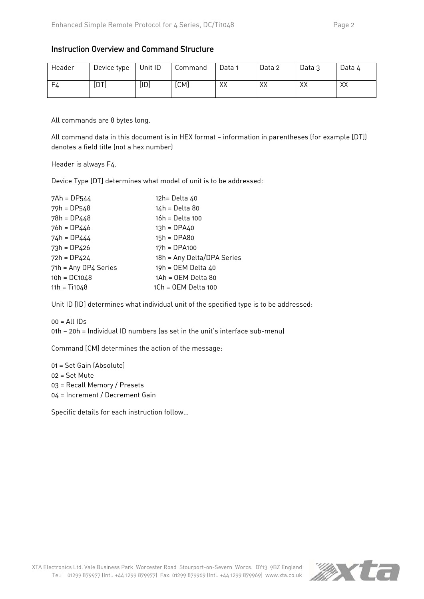### Instruction Overview and Command Structure

| Header | Device type | Unit ID | Command | Data 1 | Data 2 | Data 3 | Data 4 |
|--------|-------------|---------|---------|--------|--------|--------|--------|
| F4     | [DT]        | [ID]    | [CM]    | XX     | XX     | XX     | XХ     |

All commands are 8 bytes long.

All command data in this document is in HEX format — information in parentheses (for example [DT]) denotes a field title (not a hex number)

Header is always F4.

Device Type [DT] determines what model of unit is to be addressed:

| $7Ah = DP544$        | 12h= Delta 40              |
|----------------------|----------------------------|
| $79h = DP548$        | 14h = Delta 80             |
| $78h = DP448$        | 16h = Delta 100            |
| 76h = DP446          | $13h = DPA40$              |
| $74h = DP444$        | $15h = DPA80$              |
| $73h = DP426$        | $17h = DPA100$             |
| $72h = DP424$        | 18h = Any Delta/DPA Series |
| 71h = Any DP4 Series | 19h = OEM Delta 40         |
| $10h = D C1048$      | 1Ah = OEM Delta 80         |
| $11h = Ti1048$       | 1Ch = OEM Delta 100        |

Unit ID [ID] determines what individual unit of the specified type is to be addressed:

 $00 =$  All IDs

01h — 20h = Individual ID numbers (as set in the unit's interface sub-menu)

Command [CM] determines the action of the message:

01 = Set Gain (Absolute) 02 = Set Mute 03 = Recall Memory / Presets 04 = Increment / Decrement Gain

Specific details for each instruction follow…

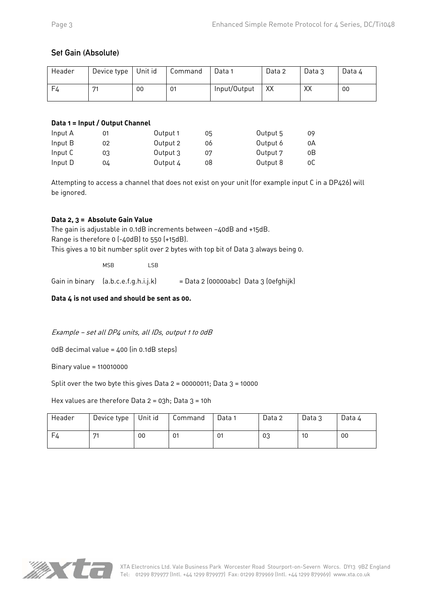# Set Gain (Absolute)

| Header | Device type | Unit id | Command | Data 1       | Data 2 | Data 3 | Data 4 |
|--------|-------------|---------|---------|--------------|--------|--------|--------|
| F4     | <b>174</b>  | 00      | 01      | Input/Output | XX     | XX     | 00     |

### **Data 1 = Input / Output Channel**

| Input A | 01 | Output 1 | 05 | Output 5 | 09 |
|---------|----|----------|----|----------|----|
| Input B | 02 | Output 2 | 06 | Output 6 | 0A |
| Input C | 03 | Output 3 | 07 | Output 7 | oΒ |
| Input D | 04 | Output 4 | 08 | Output 8 | ОC |

Attempting to access a channel that does not exist on your unit (for example input C in a DP426) will be ignored.

# **Data 2, 3 = Absolute Gain Value**

The gain is adjustable in 0.1dB increments between —40dB and +15dB. Range is therefore 0 (-40dB) to 550 (+15dB). This gives a 10 bit number split over 2 bytes with top bit of Data 3 always being 0.

MSB LSB

Gain in binary  $[a.b.c.e.f.g.h.i.j.k]$  = Data 2 (00000abc) Data 3 (0efghijk)

**Data 4 is not used and should be sent as 00.** 

### Example — set all DP4 units, all IDs, output 1 to 0dB

0dB decimal value = 400 (in 0.1dB steps)

Binary value = 110010000

Split over the two byte this gives Data  $2 = 00000011$ ; Data  $3 = 10000$ 

Hex values are therefore Data  $2 = 03h$ ; Data  $3 = 10h$ 

| Header | Device type | Unit id | Command | Data 1 | Data 2 | Data 3 | Data 4 |
|--------|-------------|---------|---------|--------|--------|--------|--------|
| - F4   | 74          | 00      | 01      | 01     | 03     | 10     | 00     |

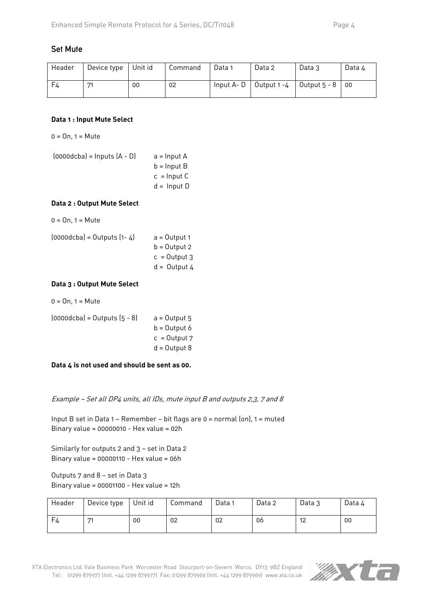# Set Mute

| Header | Device type    | Unit id | Command | Data 1     | Data 2      | Data 3       | Data 4          |
|--------|----------------|---------|---------|------------|-------------|--------------|-----------------|
| - F4   | D <sub>4</sub> | 00      | 02      | Input A- D | Output 1 -4 | Output 5 - 8 | $\overline{00}$ |

#### **Data 1 : Input Mute Select**

 $0 = 0n$ ,  $1 = Mute$ 

 $(0000dcba) =$  Inputs  $(A - D)$  a = Input A  $b =$  Input B  $c =$  Input C  $d =$  Input D

#### **Data 2 : Output Mute Select**

 $0 = 0n$ ,  $1 = Mute$ 

| $[0000dcba] = Outputs [1-4]$ | $a = Output1$  |
|------------------------------|----------------|
|                              | $b =$ Output 2 |
|                              | $c =$ Output 3 |
|                              | $d =$ Output 4 |

#### **Data 3 : Output Mute Select**

 $0 = 0n$ ,  $1 = Mute$ 

| $[0000dcba] = 0$ utputs $[5 - 8]$ | $a =$ Output 5 |
|-----------------------------------|----------------|
|                                   | $b =$ Output 6 |
|                                   | $c =$ Output 7 |
|                                   | $d =$ Output 8 |
|                                   |                |

**Data 4 is not used and should be sent as 00.** 

Example — Set all DP4 units, all IDs, mute input B and outputs 2,3, 7 and 8

Input B set in Data 1 — Remember — bit flags are 0 = normal (on), 1 = muted Binary value = 00000010 - Hex value = 02h

Similarly for outputs 2 and 3 — set in Data 2 Binary value = 00000110 - Hex value = 06h

Outputs 7 and 8 — set in Data 3 Binary value = 00001100 - Hex value = 12h

| Header | Device type  | Unit id | Command | Data 1 | Data 2 | Data 3 | Data 4 |
|--------|--------------|---------|---------|--------|--------|--------|--------|
| F4     | $\mathbf{Z}$ | 00      | 02      | 02     | 06     | 12     | 00     |

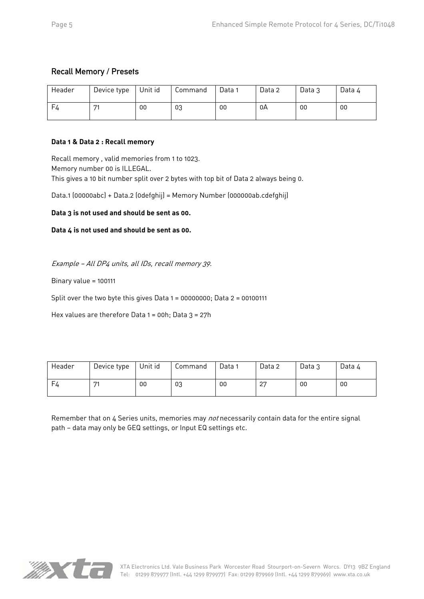# Recall Memory / Presets

| Header  | Device type | Unit id | Command | Data 1 | Data 2 | Data 3 | Data 4 |
|---------|-------------|---------|---------|--------|--------|--------|--------|
| $F_{4}$ | 574         | 00      | 03      | 00     | 0A     | 00     | 00     |

### **Data 1 & Data 2 : Recall memory**

Recall memory , valid memories from 1 to 1023. Memory number 00 is ILLEGAL. This gives a 10 bit number split over 2 bytes with top bit of Data 2 always being 0.

Data.1 (00000abc) + Data.2 (0defghij) = Memory Number (000000ab.cdefghij)

**Data 3 is not used and should be sent as 00.** 

**Data 4 is not used and should be sent as 00.** 

Example — All DP4 units, all IDs, recall memory 39.

Binary value = 100111

Split over the two byte this gives Data 1 = 00000000; Data 2 = 00100111

Hex values are therefore Data 1 = 00h; Data 3 = 27h

| Header | Device type | Unit id | Command | Data 1 | Data 2      | Data 3 | Data 4 |
|--------|-------------|---------|---------|--------|-------------|--------|--------|
| - F4   | 574         | 00      | 03      | 00     | $\cap$<br>∠ | 00     | 00     |

Remember that on 4 Series units, memories may *not* necessarily contain data for the entire signal path — data may only be GEQ settings, or Input EQ settings etc.

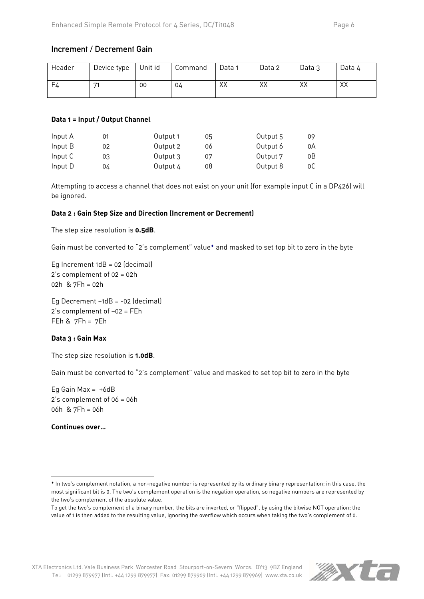# Increment / Decrement Gain

| Header | Device type | Unit id | Command | Data 1 | Data 2 | Data 3 | Data 4 |
|--------|-------------|---------|---------|--------|--------|--------|--------|
| F4     | 74          | 00      | 04      | XX     | XX     | XX     | XХ     |

#### **Data 1 = Input / Output Channel**

| Input A | 01 | Output 1 | 05 | Output 5 | 09   |
|---------|----|----------|----|----------|------|
| Input B | 02 | Output 2 | 06 | Output 6 | 0A   |
| Input C | 03 | Output 3 | 07 | Output 7 | οB   |
| Input D | 04 | Output 4 | 08 | Output 8 | 0C . |

Attempting to access a channel that does not exist on your unit (for example input C in a DP426) will be ignored.

### **Data 2 : Gain Step Size and Direction (Increment or Decrement)**

The step size resolution is **0.5dB**.

Gain must be converted to "2's complement" value<sup>\*</sup> and masked to set top bit to zero in the byte

Eg Increment 1dB = 02 (decimal) 2's complement of 02 = 02h 02h & 7Fh = 02h

Eg Decrement —1dB = -02 (decimal) 2's complement of —02 = FEh FEh & 7Fh = 7Eh

### **Data 3 : Gain Max**

The step size resolution is **1.0dB**.

Gain must be converted to "2's complement" value and masked to set top bit to zero in the byte

Eg Gain Max =  $+6dB$ 2's complement of 06 = 06h 06h & 7Fh = 06h

**Continues over…** 

**.** 



In two's complement notation, a non-negative number is represented by its ordinary binary representation; in this case, the most significant bit is 0. The two's complement operation is the negation operation, so negative numbers are represented by the two's complement of the absolute value.

To get the two's complement of a binary number, the bits are inverted, or "flipped", by using the bitwise NOT operation; the value of 1 is then added to the resulting value, ignoring the overflow which occurs when taking the two's complement of 0.